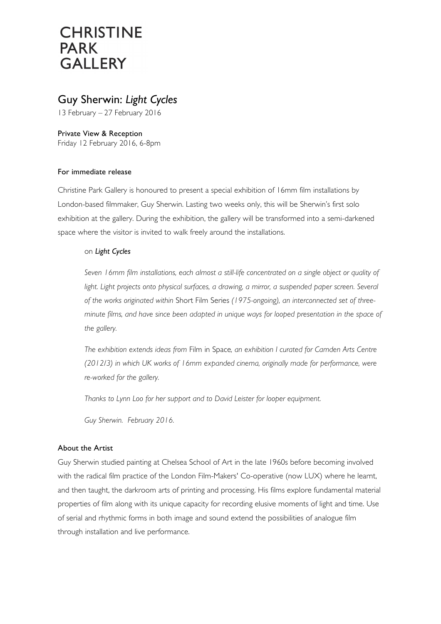# **CHRISTINE PARK GALLERY**

### Guy Sherwin: *Light Cycles*

13 February – 27 February 2016

Private View & Reception Friday 12 February 2016, 6-8pm

#### For immediate release

Christine Park Gallery is honoured to present a special exhibition of 16mm film installations by London-based filmmaker, Guy Sherwin. Lasting two weeks only, this will be Sherwin's first solo exhibition at the gallery. During the exhibition, the gallery will be transformed into a semi-darkened space where the visitor is invited to walk freely around the installations.

#### on *Light Cycles*

*Seven 16mm film installations, each almost a still-life concentrated on a single object or quality of light. Light projects onto physical surfaces, a drawing, a mirror, a suspended paper screen. Several of the works originated within* Short Film Series *(1975-ongoing), an interconnected set of threeminute films, and have since been adapted in unique ways for looped presentation in the space of the gallery.*

*The exhibition extends ideas from* Film in Space*, an exhibition I curated for Camden Arts Centre (2012/3) in which UK works of 16mm expanded cinema, originally made for performance, were re-worked for the gallery.*

*Thanks to Lynn Loo for her support and to David Leister for looper equipment.*

*Guy Sherwin. February 2016.*

### About the Artist

Guy Sherwin studied painting at Chelsea School of Art in the late 1960s before becoming involved with the radical film practice of the London Film-Makers' Co-operative (now LUX) where he learnt, and then taught, the darkroom arts of printing and processing. His films explore fundamental material properties of film along with its unique capacity for recording elusive moments of light and time. Use of serial and rhythmic forms in both image and sound extend the possibilities of analogue film through installation and live performance.